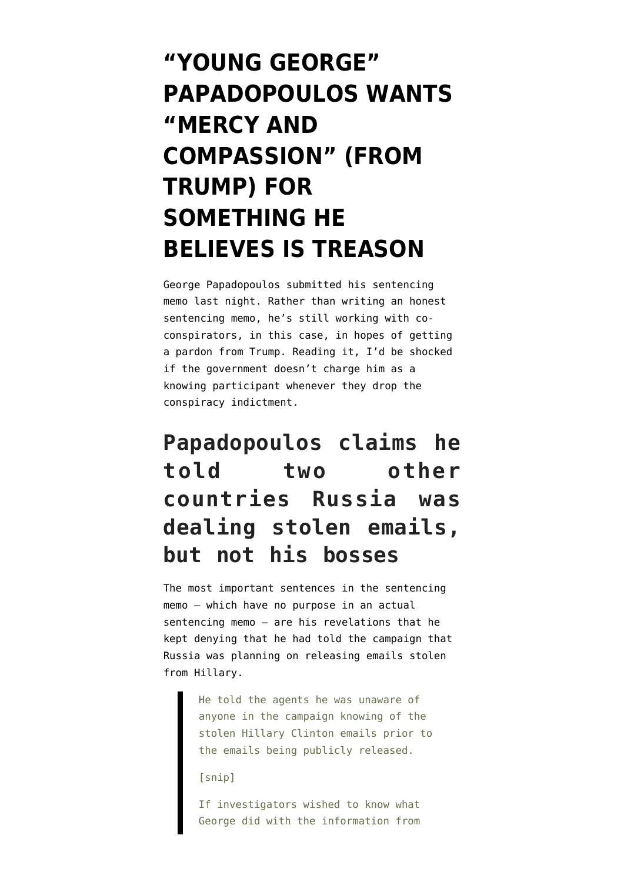# **["YOUNG GEORGE"](https://www.emptywheel.net/2018/09/01/young-george-wants-mercy-and-compassion-from-trump-for-something-he-believes-is-treason/) [PAPADOPOULOS WANTS](https://www.emptywheel.net/2018/09/01/young-george-wants-mercy-and-compassion-from-trump-for-something-he-believes-is-treason/) ["MERCY AND](https://www.emptywheel.net/2018/09/01/young-george-wants-mercy-and-compassion-from-trump-for-something-he-believes-is-treason/) [COMPASSION" \(FROM](https://www.emptywheel.net/2018/09/01/young-george-wants-mercy-and-compassion-from-trump-for-something-he-believes-is-treason/) [TRUMP\) FOR](https://www.emptywheel.net/2018/09/01/young-george-wants-mercy-and-compassion-from-trump-for-something-he-believes-is-treason/) [SOMETHING HE](https://www.emptywheel.net/2018/09/01/young-george-wants-mercy-and-compassion-from-trump-for-something-he-believes-is-treason/) [BELIEVES IS TREASON](https://www.emptywheel.net/2018/09/01/young-george-wants-mercy-and-compassion-from-trump-for-something-he-believes-is-treason/)**

George Papadopoulos [submitted](https://assets.documentcloud.org/documents/4808119/Sentencing-Memorandum.pdf) his sentencing memo last night. Rather than writing an honest sentencing memo, he's still working with coconspirators, in this case, in hopes of getting a pardon from Trump. Reading it, I'd be shocked if the government doesn't charge him as a knowing participant whenever they drop the conspiracy indictment.

# **Papadopoulos claims he told two other countries Russia was dealing stolen emails, but not his bosses**

The most important sentences in the sentencing memo — which have no purpose in an actual sentencing memo — are his revelations that he kept denying that he had told the campaign that Russia was planning on releasing emails stolen from Hillary.

> He told the agents he was unaware of anyone in the campaign knowing of the stolen Hillary Clinton emails prior to the emails being publicly released.

[snip]

If investigators wished to know what George did with the information from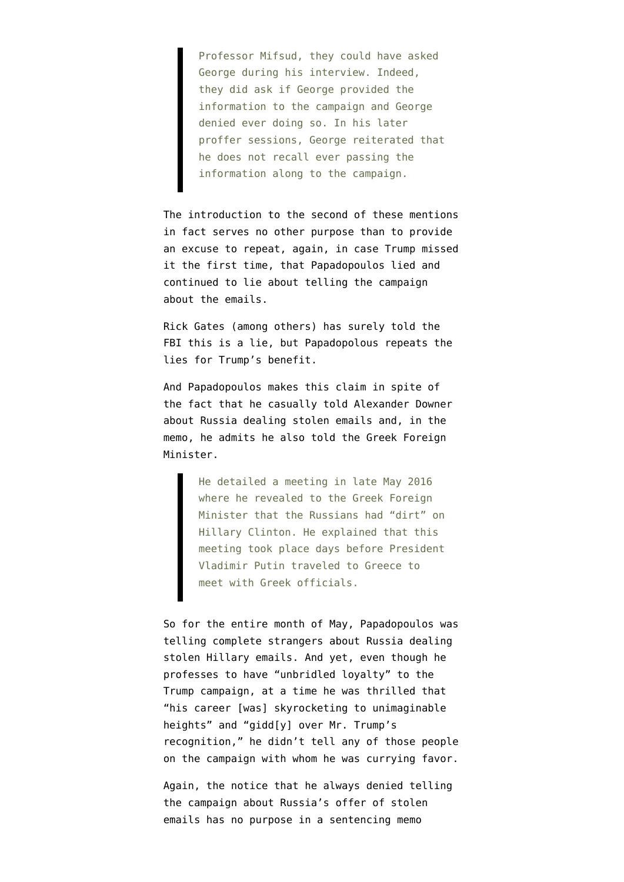Professor Mifsud, they could have asked George during his interview. Indeed, they did ask if George provided the information to the campaign and George denied ever doing so. In his later proffer sessions, George reiterated that he does not recall ever passing the information along to the campaign.

The introduction to the second of these mentions in fact serves no other purpose than to provide an excuse to repeat, again, in case Trump missed it the first time, that Papadopoulos lied and continued to lie about telling the campaign about the emails.

Rick Gates (among others) has [surely told the](https://www.emptywheel.net/2018/08/16/if-you-have-rick-gates-and-omarosa-you-dont-need-george-papadopoulos/) [FBI this is a lie,](https://www.emptywheel.net/2018/08/16/if-you-have-rick-gates-and-omarosa-you-dont-need-george-papadopoulos/) but Papadopolous repeats the lies for Trump's benefit.

And Papadopoulos makes this claim in spite of the fact that he casually told Alexander Downer about Russia dealing stolen emails and, in the memo, he admits he also told the Greek Foreign Minister.

> He detailed a meeting in late May 2016 where he revealed to the Greek Foreign Minister that the Russians had "dirt" on Hillary Clinton. He explained that this meeting took place days before President Vladimir Putin traveled to Greece to meet with Greek officials.

So for the entire month of May, Papadopoulos was telling complete strangers about Russia dealing stolen Hillary emails. And yet, even though he professes to have "unbridled loyalty" to the Trump campaign, at a time he was thrilled that "his career [was] skyrocketing to unimaginable heights" and "gidd[y] over Mr. Trump's recognition," he didn't tell any of those people on the campaign with whom he was currying favor.

Again, the notice that he always denied telling the campaign about Russia's offer of stolen emails has no purpose in a sentencing memo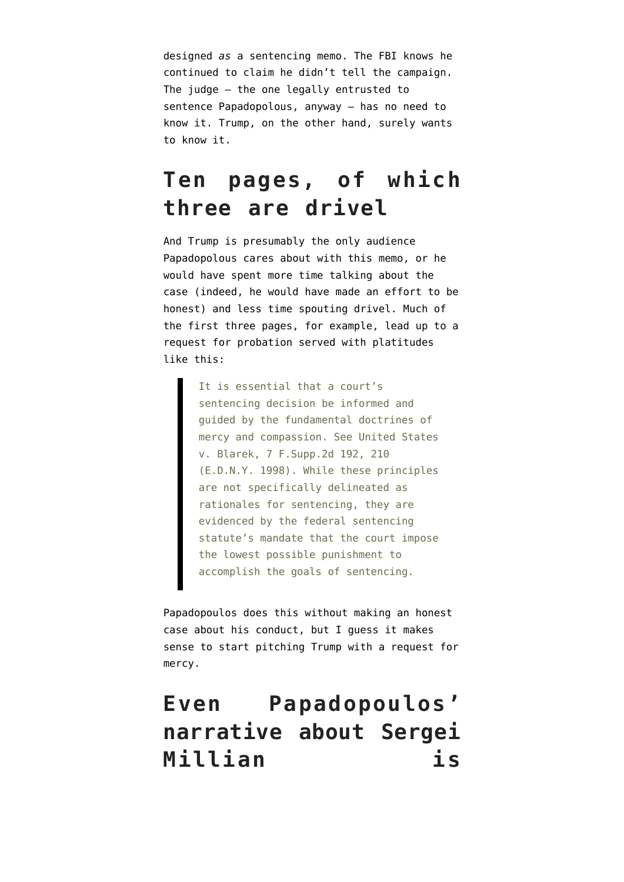designed *as* a sentencing memo. The FBI knows he continued to claim he didn't tell the campaign. The judge — the one legally entrusted to sentence Papadopolous, anyway — has no need to know it. Trump, on the other hand, surely wants to know it.

## **Ten pages, of which three are drivel**

And Trump is presumably the only audience Papadopolous cares about with this memo, or he would have spent more time talking about the case (indeed, he would have made an effort to be honest) and less time spouting drivel. Much of the first three pages, for example, lead up to a request for probation served with platitudes like this:

> It is essential that a court's sentencing decision be informed and guided by the fundamental doctrines of mercy and compassion. See United States v. Blarek, 7 F.Supp.2d 192, 210 (E.D.N.Y. 1998). While these principles are not specifically delineated as rationales for sentencing, they are evidenced by the federal sentencing statute's mandate that the court impose the lowest possible punishment to accomplish the goals of sentencing.

Papadopoulos does this without making an honest case about his conduct, but I guess it makes sense to start pitching Trump with a request for mercy.

# **Even Papadopoulos' narrative about Sergei Millian is**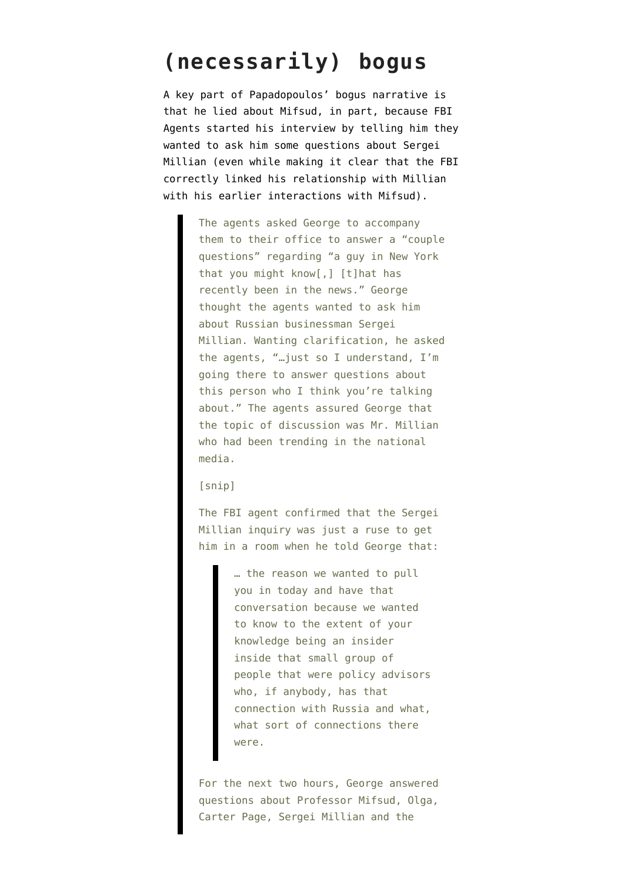### **(necessarily) bogus**

A key part of Papadopoulos' bogus narrative is that he lied about Mifsud, in part, because FBI Agents started his interview by telling him they wanted to ask him some questions about Sergei Millian (even while making it clear that the FBI correctly linked his relationship with Millian with his earlier interactions with Mifsud).

> The agents asked George to accompany them to their office to answer a "couple questions" regarding "a guy in New York that you might know[,] [t]hat has recently been in the news." George thought the agents wanted to ask him about Russian businessman Sergei Millian. Wanting clarification, he asked the agents, "…just so I understand, I'm going there to answer questions about this person who I think you're talking about." The agents assured George that the topic of discussion was Mr. Millian who had been trending in the national media.

[snip]

The FBI agent confirmed that the Sergei Millian inquiry was just a ruse to get him in a room when he told George that:

> … the reason we wanted to pull you in today and have that conversation because we wanted to know to the extent of your knowledge being an insider inside that small group of people that were policy advisors who, if anybody, has that connection with Russia and what, what sort of connections there were.

For the next two hours, George answered questions about Professor Mifsud, Olga, Carter Page, Sergei Millian and the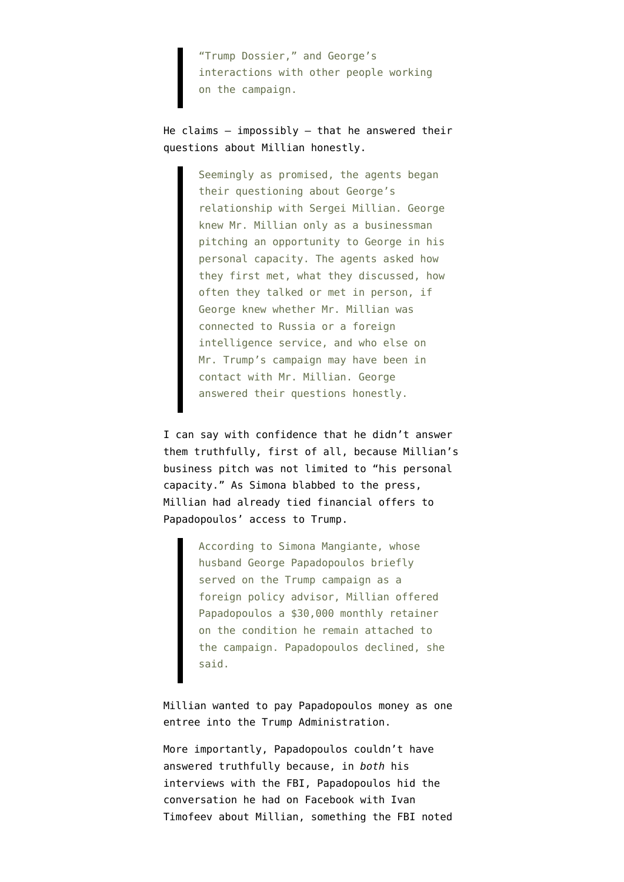"Trump Dossier," and George's interactions with other people working on the campaign.

He claims  $-$  impossibly  $-$  that he answered their questions about Millian honestly.

> Seemingly as promised, the agents began their questioning about George's relationship with Sergei Millian. George knew Mr. Millian only as a businessman pitching an opportunity to George in his personal capacity. The agents asked how they first met, what they discussed, how often they talked or met in person, if George knew whether Mr. Millian was connected to Russia or a foreign intelligence service, and who else on Mr. Trump's campaign may have been in contact with Mr. Millian. George answered their questions honestly.

I can say with confidence that he didn't answer them truthfully, first of all, because Millian's business pitch was not limited to "his personal capacity." As Simona [blabbed](https://abcnews.go.com/Politics/mysterious-key-figure-russia-probe-sought-trump-team/story?id=57458553) to the press, Millian had already tied financial offers to Papadopoulos' access to Trump.

> According to Simona Mangiante, whose husband George Papadopoulos briefly served on the Trump campaign as a foreign policy advisor, Millian offered Papadopoulos a \$30,000 monthly retainer on the condition he remain attached to the campaign. Papadopoulos declined, she said.

Millian wanted to pay Papadopoulos money as one entree into the Trump Administration.

More importantly, Papadopoulos couldn't have answered truthfully because, in *both* his interviews with the FBI, Papadopoulos [hid the](https://www.courtlistener.com/recap/gov.uscourts.dcd.188339.1.1.pdf) [conversation](https://www.courtlistener.com/recap/gov.uscourts.dcd.188339.1.1.pdf) he had on Facebook with Ivan Timofeev about Millian, something the FBI noted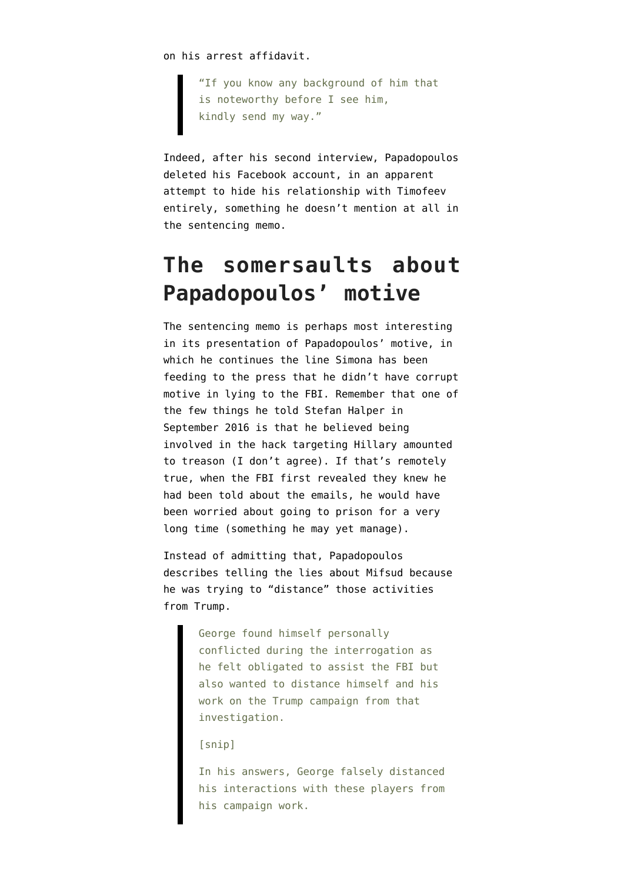on his arrest affidavit.

"If you know any background of him that is noteworthy before I see him, kindly send my way."

Indeed, after his second interview, Papadopoulos deleted his Facebook account, in an apparent attempt to hide his relationship with Timofeev entirely, something he doesn't mention at all in the sentencing memo.

# **The somersaults about Papadopoulos' motive**

The sentencing memo is perhaps most interesting in its presentation of Papadopoulos' motive, in which he continues the line Simona has been feeding to the press that he didn't have corrupt motive in lying to the FBI. Remember that one of the few things he told Stefan Halper in September 2016 is that he [believed](https://www.emptywheel.net/2018/05/21/george-papadopoulos-was-trying-to-hide-treason-when-he-lied-to-the-fbi/) being involved in the hack targeting Hillary amounted to treason (I don't agree). If that's remotely true, when the FBI first revealed they knew he had been told about the emails, he would have been worried about going to prison for a very long time (something he may yet manage).

Instead of admitting that, Papadopoulos describes telling the lies about Mifsud because he was trying to "distance" those activities from Trump.

> George found himself personally conflicted during the interrogation as he felt obligated to assist the FBI but also wanted to distance himself and his work on the Trump campaign from that investigation.

### [snip]

In his answers, George falsely distanced his interactions with these players from his campaign work.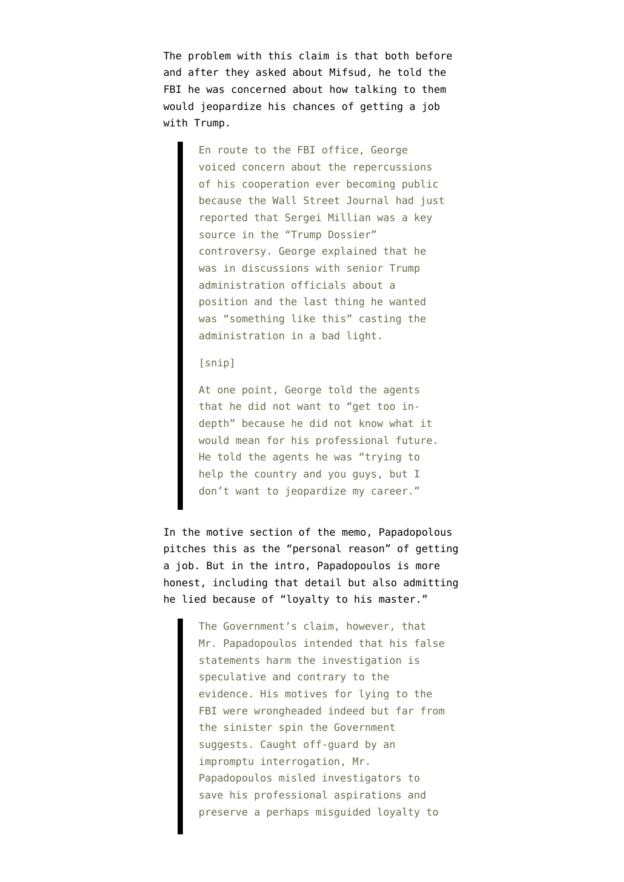The problem with this claim is that both before and after they asked about Mifsud, he told the FBI he was concerned about how talking to them would jeopardize his chances of getting a job with Trump.

> En route to the FBI office, George voiced concern about the repercussions of his cooperation ever becoming public because the Wall Street Journal had just reported that Sergei Millian was a key source in the "Trump Dossier" controversy. George explained that he was in discussions with senior Trump administration officials about a position and the last thing he wanted was "something like this" casting the administration in a bad light.

### [snip]

At one point, George told the agents that he did not want to "get too indepth" because he did not know what it would mean for his professional future. He told the agents he was "trying to help the country and you guys, but I don't want to jeopardize my career."

In the motive section of the memo, Papadopolous pitches this as the "personal reason" of getting a job. But in the intro, Papadopoulos is more honest, including that detail but also admitting he lied because of "loyalty to his master."

> The Government's claim, however, that Mr. Papadopoulos intended that his false statements harm the investigation is speculative and contrary to the evidence. His motives for lying to the FBI were wrongheaded indeed but far from the sinister spin the Government suggests. Caught off-guard by an impromptu interrogation, Mr. Papadopoulos misled investigators to save his professional aspirations and preserve a perhaps misguided loyalty to